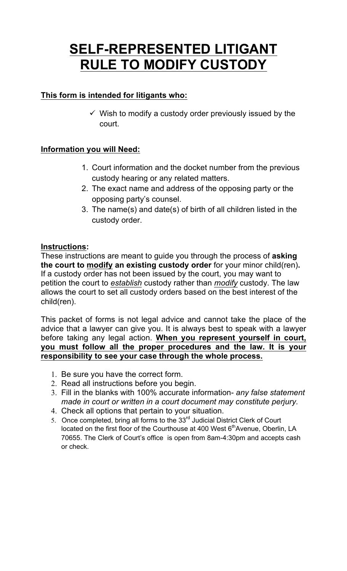## **SELF-REPRESENTED LITIGANT RULE TO MODIFY CUSTODY**

### **This form is intended for litigants who:**

 $\checkmark$  Wish to modify a custody order previously issued by the court.

### **Information you will Need:**

- 1. Court information and the docket number from the previous custody hearing or any related matters.
- 2. The exact name and address of the opposing party or the opposing party's counsel.
- 3. The name(s) and date(s) of birth of all children listed in the custody order.

### **Instructions:**

These instructions are meant to guide you through the process of **asking the court to modify an existing custody order** for your minor child(ren)**.**  If a custody order has not been issued by the court, you may want to petition the court to *establish* custody rather than *modify* custody. The law allows the court to set all custody orders based on the best interest of the child(ren).

This packet of forms is not legal advice and cannot take the place of the advice that a lawyer can give you. It is always best to speak with a lawyer before taking any legal action. **When you represent yourself in court, you must follow all the proper procedures and the law. It is your responsibility to see your case through the whole process.** 

- 1. Be sure you have the correct form.
- 2. Read all instructions before you begin.
- 3. Fill in the blanks with 100% accurate information- *any false statement made in court or written in a court document may constitute perjury.*
- 4. Check all options that pertain to your situation.
- 5. Once completed, bring all forms to the  $33<sup>rd</sup>$  Judicial District Clerk of Court located on the first floor of the Courthouse at 400 West  $6<sup>th</sup>$ Avenue, Oberlin, LA 70655. The Clerk of Court's office is open from 8am-4:30pm and accepts cash or check.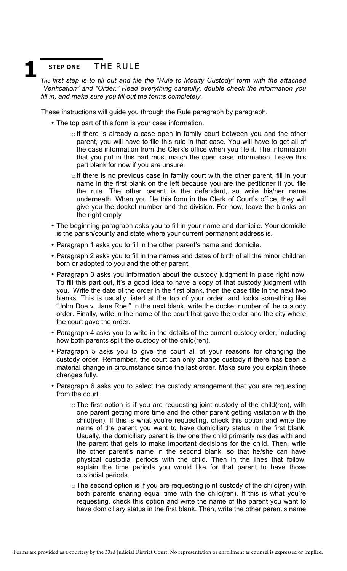### **STEP ONE** THE RULE

The first step is to fill out and file the "Rule to Modify Custody" form with the attached *"Verification" and "Order." Read everything carefully, double check the information you fill in, and make sure you fill out the forms completely.*  **1** 

These instructions will guide you through the Rule paragraph by paragraph.

- The top part of this form is your case information.
	- o If there is already a case open in family court between you and the other parent, you will have to file this rule in that case. You will have to get all of the case information from the Clerk's office when you file it. The information that you put in this part must match the open case information. Leave this part blank for now if you are unsure.
	- o If there is no previous case in family court with the other parent, fill in your name in the first blank on the left because you are the petitioner if you file the rule. The other parent is the defendant, so write his/her name underneath. When you file this form in the Clerk of Court's office, they will give you the docket number and the division. For now, leave the blanks on the right empty
- The beginning paragraph asks you to fill in your name and domicile. Your domicile is the parish/county and state where your current permanent address is.
- Paragraph 1 asks you to fill in the other parent's name and domicile.
- Paragraph 2 asks you to fill in the names and dates of birth of all the minor children born or adopted to you and the other parent.
- Paragraph 3 asks you information about the custody judgment in place right now. To fill this part out, it's a good idea to have a copy of that custody judgment with you. Write the date of the order in the first blank, then the case title in the next two blanks. This is usually listed at the top of your order, and looks something like "John Doe v. Jane Roe." In the next blank, write the docket number of the custody order. Finally, write in the name of the court that gave the order and the city where the court gave the order.
- Paragraph 4 asks you to write in the details of the current custody order, including how both parents split the custody of the child(ren).
- Paragraph 5 asks you to give the court all of your reasons for changing the custody order. Remember, the court can only change custody if there has been a material change in circumstance since the last order. Make sure you explain these changes fully.
- Paragraph 6 asks you to select the custody arrangement that you are requesting from the court.
	- $\circ$  The first option is if you are requesting joint custody of the child(ren), with one parent getting more time and the other parent getting visitation with the child(ren). If this is what you're requesting, check this option and write the name of the parent you want to have domiciliary status in the first blank. Usually, the domiciliary parent is the one the child primarily resides with and the parent that gets to make important decisions for the child. Then, write the other parent's name in the second blank, so that he/she can have physical custodial periods with the child. Then in the lines that follow, explain the time periods you would like for that parent to have those custodial periods.
	- $\circ$  The second option is if you are requesting joint custody of the child(ren) with both parents sharing equal time with the child(ren). If this is what you're requesting, check this option and write the name of the parent you want to have domiciliary status in the first blank. Then, write the other parent's name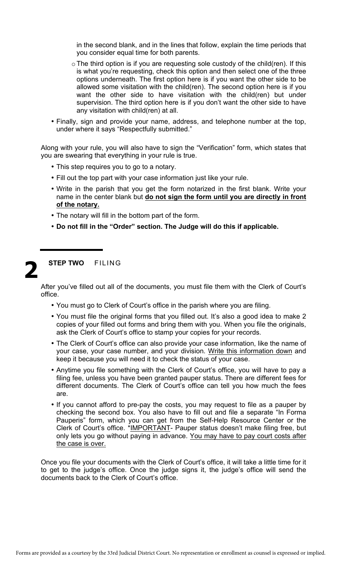in the second blank, and in the lines that follow, explain the time periods that you consider equal time for both parents.

- $\circ$  The third option is if you are requesting sole custody of the child(ren). If this is what you're requesting, check this option and then select one of the three options underneath. The first option here is if you want the other side to be allowed some visitation with the child(ren). The second option here is if you want the other side to have visitation with the child(ren) but under supervision. The third option here is if you don't want the other side to have any visitation with child(ren) at all.
- Finally, sign and provide your name, address, and telephone number at the top, under where it says "Respectfully submitted."

Along with your rule, you will also have to sign the "Verification" form, which states that you are swearing that everything in your rule is true.

- This step requires you to go to a notary.
- Fill out the top part with your case information just like your rule.
- Write in the parish that you get the form notarized in the first blank. Write your name in the center blank but **do not sign the form until you are directly in front of the notary.**
- The notary will fill in the bottom part of the form.
- **Do not fill in the "Order" section. The Judge will do this if applicable.**

### **STEP TWO** FILING **2**

After you've filled out all of the documents, you must file them with the Clerk of Court's office.

- You must go to Clerk of Court's office in the parish where you are filing.
- You must file the original forms that you filled out. It's also a good idea to make 2 copies of your filled out forms and bring them with you. When you file the originals, ask the Clerk of Court's office to stamp your copies for your records.
- The Clerk of Court's office can also provide your case information, like the name of your case, your case number, and your division. Write this information down and keep it because you will need it to check the status of your case.
- Anytime you file something with the Clerk of Court's office, you will have to pay a filing fee, unless you have been granted pauper status. There are different fees for different documents. The Clerk of Court's office can tell you how much the fees are.
- If you cannot afford to pre-pay the costs, you may request to file as a pauper by checking the second box. You also have to fill out and file a separate "In Forma Pauperis" form, which you can get from the Self-Help Resource Center or the Clerk of Court's office. \*IMPORTANT- Pauper status doesn't make filing free, but only lets you go without paying in advance. You may have to pay court costs after the case is over.

Once you file your documents with the Clerk of Court's office, it will take a little time for it to get to the judge's office. Once the judge signs it, the judge's office will send the documents back to the Clerk of Court's office.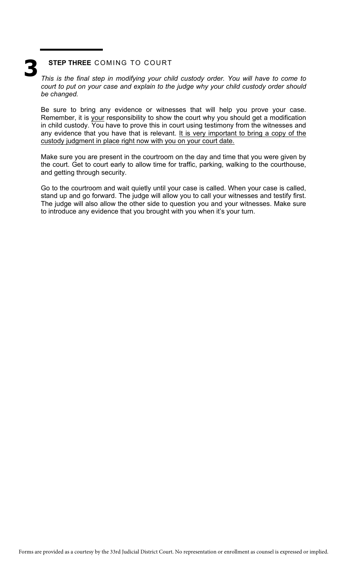# **3**

### **STEP THREE** COMING TO COURT

*This is the final step in modifying your child custody order. You will have to come to court to put on your case and explain to the judge why your child custody order should be changed.* 

Be sure to bring any evidence or witnesses that will help you prove your case. Remember, it is your responsibility to show the court why you should get a modification in child custody. You have to prove this in court using testimony from the witnesses and any evidence that you have that is relevant. It is very important to bring a copy of the custody judgment in place right now with you on your court date.

Make sure you are present in the courtroom on the day and time that you were given by the court. Get to court early to allow time for traffic, parking, walking to the courthouse, and getting through security.

Go to the courtroom and wait quietly until your case is called. When your case is called, stand up and go forward. The judge will allow you to call your witnesses and testify first. The judge will also allow the other side to question you and your witnesses. Make sure to introduce any evidence that you brought with you when it's your turn.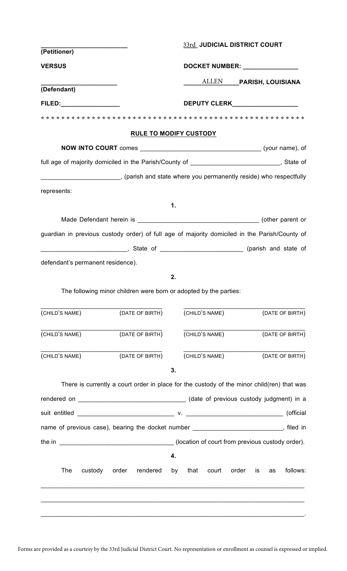| (Petitioner)                      |                                                                   |                                | 33rd JUDICIAL DISTRICT COURT                                                                  |  |  |  |  |
|-----------------------------------|-------------------------------------------------------------------|--------------------------------|-----------------------------------------------------------------------------------------------|--|--|--|--|
|                                   |                                                                   |                                |                                                                                               |  |  |  |  |
| <b>VERSUS</b>                     |                                                                   | DOCKET NUMBER: _______________ |                                                                                               |  |  |  |  |
| (Defendant)                       |                                                                   |                                | ALLEN PARISH, LOUISIANA                                                                       |  |  |  |  |
|                                   |                                                                   |                                |                                                                                               |  |  |  |  |
| FILED:__________________          |                                                                   |                                | DEPUTY CLERK___________________                                                               |  |  |  |  |
|                                   |                                                                   |                                |                                                                                               |  |  |  |  |
|                                   |                                                                   | <b>RULE TO MODIFY CUSTODY</b>  |                                                                                               |  |  |  |  |
|                                   |                                                                   |                                |                                                                                               |  |  |  |  |
|                                   |                                                                   |                                | full age of majority domiciled in the Parish/County of __________________________, State of   |  |  |  |  |
|                                   |                                                                   |                                | ___________________________, (parish and state where you permanently reside) who respectfully |  |  |  |  |
| represents:                       |                                                                   |                                |                                                                                               |  |  |  |  |
|                                   |                                                                   | $\mathbf 1$                    |                                                                                               |  |  |  |  |
|                                   |                                                                   |                                |                                                                                               |  |  |  |  |
|                                   |                                                                   |                                | guardian in previous custody order) of full age of majority domiciled in the Parish/County of |  |  |  |  |
|                                   |                                                                   |                                |                                                                                               |  |  |  |  |
|                                   |                                                                   |                                |                                                                                               |  |  |  |  |
|                                   |                                                                   |                                | Late of Late of Assembly Charish and state of                                                 |  |  |  |  |
| defendant's permanent residence). |                                                                   |                                |                                                                                               |  |  |  |  |
|                                   |                                                                   | 2.                             |                                                                                               |  |  |  |  |
|                                   | The following minor children were born or adopted by the parties: |                                |                                                                                               |  |  |  |  |
|                                   | (DATE OF BIRTH)                                                   | (CHILD'S NAME)                 | (DATE OF BIRTH)                                                                               |  |  |  |  |
|                                   |                                                                   |                                |                                                                                               |  |  |  |  |
|                                   | (DATE OF BIRTH)                                                   | (CHILD'S NAME)                 | (DATE OF BIRTH)                                                                               |  |  |  |  |
| (CHILD'S NAME)                    |                                                                   |                                |                                                                                               |  |  |  |  |
| (CHILD'S NAME)                    | (DATE OF BIRTH)                                                   | (CHILD'S NAME)                 | (DATE OF BIRTH)                                                                               |  |  |  |  |
|                                   |                                                                   | 3.                             |                                                                                               |  |  |  |  |
|                                   |                                                                   |                                | There is currently a court order in place for the custody of the minor child(ren) that was    |  |  |  |  |
|                                   |                                                                   |                                |                                                                                               |  |  |  |  |
|                                   |                                                                   |                                |                                                                                               |  |  |  |  |
|                                   |                                                                   |                                | name of previous case), bearing the docket number __________________________, filed in        |  |  |  |  |
|                                   |                                                                   |                                |                                                                                               |  |  |  |  |
| (CHILD'S NAME)                    |                                                                   | 4.                             |                                                                                               |  |  |  |  |
| The<br>custody                    | order<br>rendered                                                 | that<br>by<br>court            | follows:<br>order<br>is<br>as                                                                 |  |  |  |  |

Forms are provided as a courtesy by the 33rd Judicial District Court. No representation or enrollment as counsel is expressed or implied.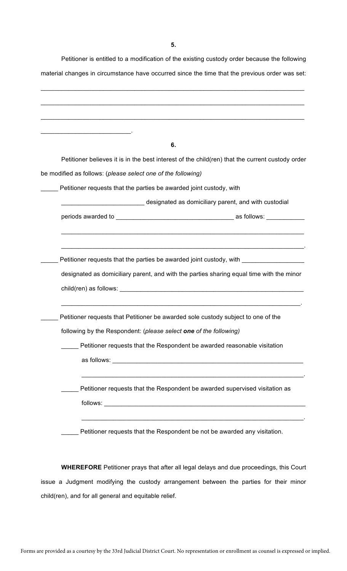Petitioner is entitled to a modification of the existing custody order because the following material changes in circumstance have occurred since the time that the previous order was set:

| <u> 1980 - Jan Barbara de Amerikaansk politiker (</u>        |                                                                                                                                                                                                                               |
|--------------------------------------------------------------|-------------------------------------------------------------------------------------------------------------------------------------------------------------------------------------------------------------------------------|
|                                                              | 6.                                                                                                                                                                                                                            |
|                                                              | Petitioner believes it is in the best interest of the child(ren) that the current custody order                                                                                                                               |
| be modified as follows: (please select one of the following) |                                                                                                                                                                                                                               |
|                                                              | Petitioner requests that the parties be awarded joint custody, with                                                                                                                                                           |
|                                                              | designated as domiciliary parent, and with custodial                                                                                                                                                                          |
|                                                              |                                                                                                                                                                                                                               |
|                                                              |                                                                                                                                                                                                                               |
|                                                              |                                                                                                                                                                                                                               |
|                                                              | Petitioner requests that the parties be awarded joint custody, with _____________                                                                                                                                             |
|                                                              | designated as domiciliary parent, and with the parties sharing equal time with the minor                                                                                                                                      |
|                                                              |                                                                                                                                                                                                                               |
|                                                              | child(ren) as follows: example and the set of the set of the set of the set of the set of the set of the set of the set of the set of the set of the set of the set of the set of the set of the set of the set of the set of |
|                                                              |                                                                                                                                                                                                                               |
|                                                              | Petitioner requests that Petitioner be awarded sole custody subject to one of the                                                                                                                                             |
|                                                              | following by the Respondent: (please select one of the following)                                                                                                                                                             |
|                                                              | Petitioner requests that the Respondent be awarded reasonable visitation                                                                                                                                                      |
|                                                              |                                                                                                                                                                                                                               |
|                                                              |                                                                                                                                                                                                                               |
|                                                              |                                                                                                                                                                                                                               |
|                                                              | Petitioner requests that the Respondent be awarded supervised visitation as                                                                                                                                                   |
|                                                              |                                                                                                                                                                                                                               |
|                                                              | Petitioner requests that the Respondent be not be awarded any visitation.                                                                                                                                                     |

**WHEREFORE** Petitioner prays that after all legal delays and due proceedings, this Court issue a Judgment modifying the custody arrangement between the parties for their minor child(ren), and for all general and equitable relief.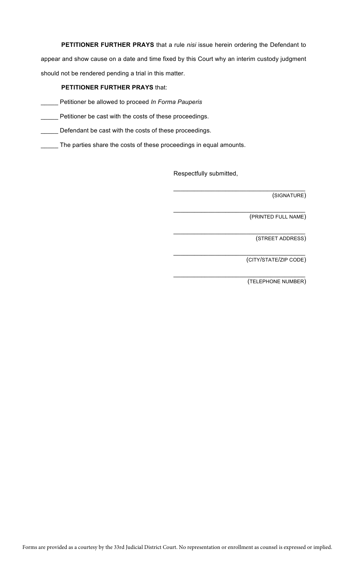**PETITIONER FURTHER PRAYS** that a rule *nisi* issue herein ordering the Defendant to appear and show cause on a date and time fixed by this Court why an interim custody judgment should not be rendered pending a trial in this matter.

### **PETITIONER FURTHER PRAYS** that:

\_\_\_\_\_ Petitioner be allowed to proceed *In Forma Pauperis*

**EXECTE:** Petitioner be cast with the costs of these proceedings.

Defendant be cast with the costs of these proceedings.

The parties share the costs of these proceedings in equal amounts.

Respectfully submitted,

 $\mathcal{L}_\mathcal{L}$  , where  $\mathcal{L}_\mathcal{L}$  , we have the set of the set of the set of the set of the set of the set of the set of the set of the set of the set of the set of the set of the set of the set of the set of the set (SIGNATURE)

 $\mathcal{L}_\mathcal{L}$  , which is a set of the set of the set of the set of the set of the set of the set of the set of the set of the set of the set of the set of the set of the set of the set of the set of the set of the set of (PRINTED FULL NAME)

 $\mathcal{L}_\mathcal{L}$  , which is a set of the set of the set of the set of the set of the set of the set of the set of the set of the set of the set of the set of the set of the set of the set of the set of the set of the set of

\_\_\_\_\_\_\_\_\_\_\_\_\_\_\_\_\_\_\_\_\_\_\_\_\_\_\_\_\_\_\_\_\_\_\_\_\_\_

 $\mathcal{L}_\mathcal{L}$  , which is a set of the set of the set of the set of the set of the set of the set of the set of the set of the set of the set of the set of the set of the set of the set of the set of the set of the set of

(STREET ADDRESS)

(CITY/STATE/ZIP CODE)

(TELEPHONE NUMBER)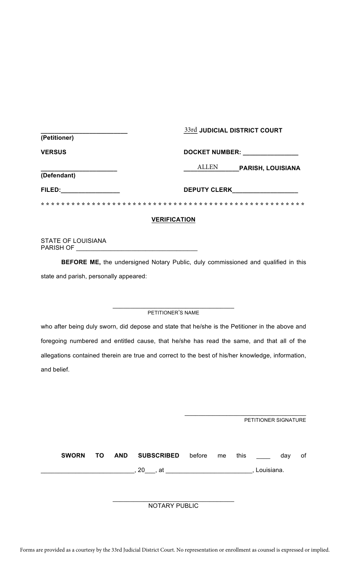| (Petitioner)  | 33rd JUDICIAL DISTRICT COURT             |  |  |  |
|---------------|------------------------------------------|--|--|--|
| <b>VERSUS</b> | <b>DOCKET NUMBER:</b>                    |  |  |  |
| (Defendant)   | <b>ALLEN</b><br><b>PARISH, LOUISIANA</b> |  |  |  |
| FILED:        | <b>DEPUTY CLERK</b>                      |  |  |  |
|               |                                          |  |  |  |

### **VERIFICATION**

STATE OF LOUISIANA PARISH OF \_\_\_\_\_\_\_\_\_\_\_\_\_\_\_\_\_\_\_\_\_\_\_\_\_\_\_\_\_\_\_\_\_\_\_

**BEFORE ME,** the undersigned Notary Public, duly commissioned and qualified in this state and parish, personally appeared:

#### $\_$ PETITIONER'S NAME

who after being duly sworn, did depose and state that he/she is the Petitioner in the above and foregoing numbered and entitled cause, that he/she has read the same, and that all of the allegations contained therein are true and correct to the best of his/her knowledge, information, and belief.

|              |     |            |                      |        |    |      | PETITIONER SIGNATURE |     |    |
|--------------|-----|------------|----------------------|--------|----|------|----------------------|-----|----|
| <b>SWORN</b> | TO. | <b>AND</b> | <b>SUBSCRIBED</b>    | before | me | this |                      | day | of |
|              |     |            |                      |        |    |      | Louisiana.           |     |    |
|              |     |            | <b>NOTARY PUBLIC</b> |        |    |      |                      |     |    |